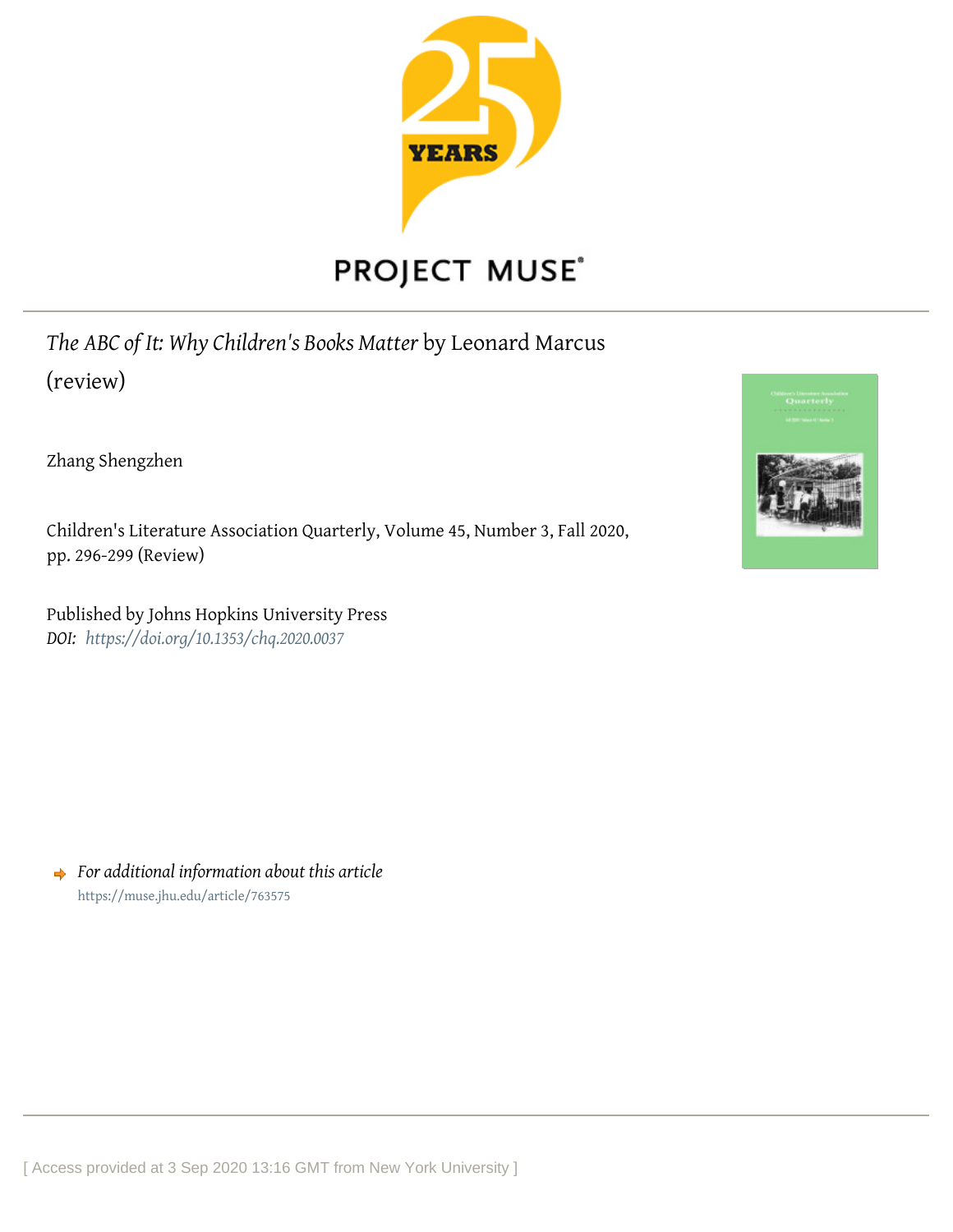

## **PROJECT MUSE®**

*The ABC of It: Why Children's Books Matter* by Leonard Marcus (review)

Zhang Shengzhen

Children's Literature Association Quarterly, Volume 45, Number 3, Fall 2020, pp. 296-299 (Review)

Published by Johns Hopkins University Press *DOI: <https://doi.org/10.1353/chq.2020.0037>*



*For additional information about this article* <https://muse.jhu.edu/article/763575>

[ Access provided at 3 Sep 2020 13:16 GMT from New York University ]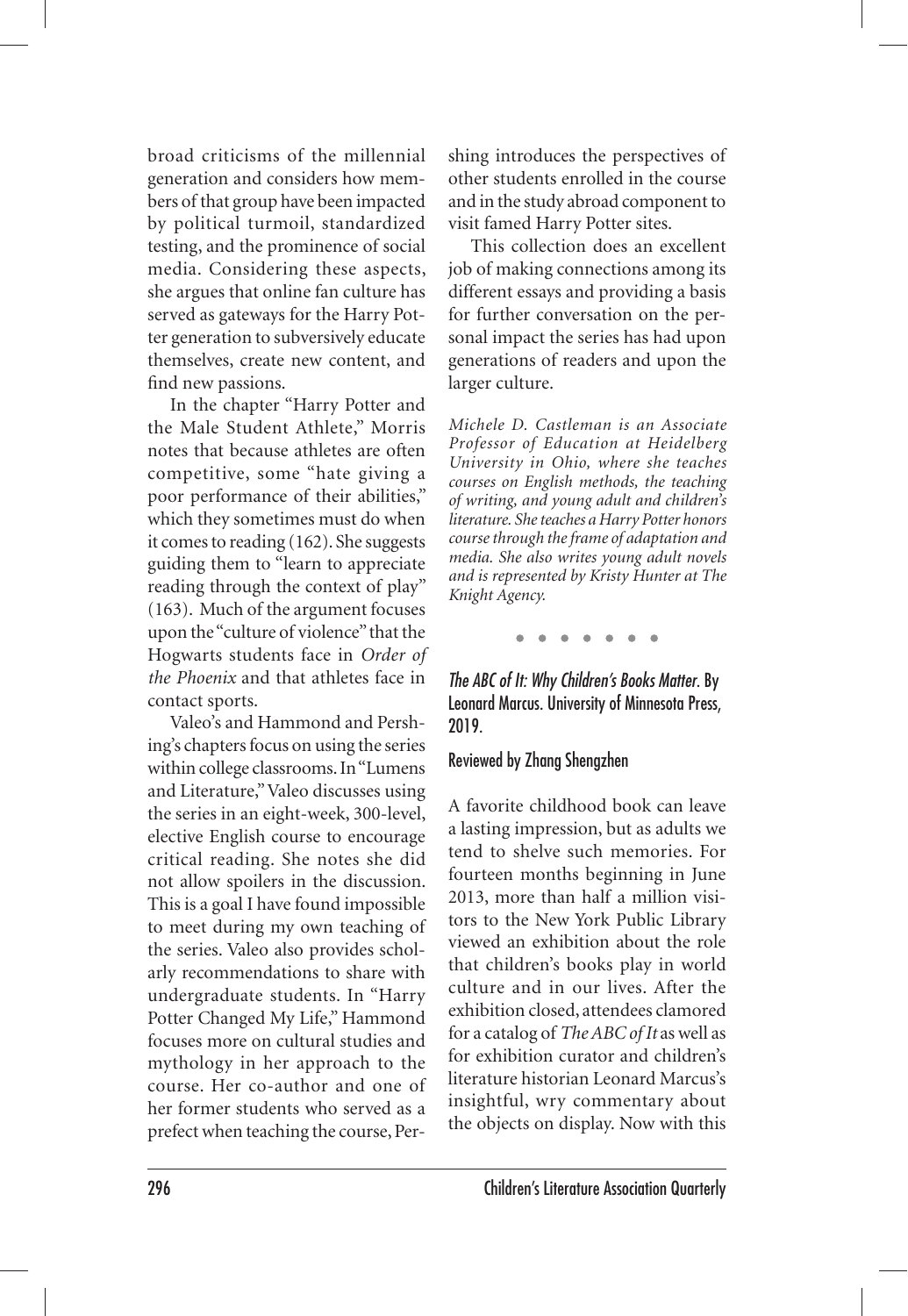broad criticisms of the millennial generation and considers how members of that group have been impacted by political turmoil, standardized testing, and the prominence of social media. Considering these aspects, she argues that online fan culture has served as gateways for the Harry Potter generation to subversively educate themselves, create new content, and find new passions.

In the chapter "Harry Potter and the Male Student Athlete," Morris notes that because athletes are often competitive, some "hate giving a poor performance of their abilities," which they sometimes must do when it comes to reading (162). She suggests guiding them to "learn to appreciate reading through the context of play" (163). Much of the argument focuses upon the "culture of violence" that the Hogwarts students face in *Order of the Phoenix* and that athletes face in contact sports.

Valeo's and Hammond and Pershing's chapters focus on using the series within college classrooms. In "Lumens and Literature," Valeo discusses using the series in an eight-week, 300-level, elective English course to encourage critical reading. She notes she did not allow spoilers in the discussion. This is a goal I have found impossible to meet during my own teaching of the series. Valeo also provides scholarly recommendations to share with undergraduate students. In "Harry Potter Changed My Life," Hammond focuses more on cultural studies and mythology in her approach to the course. Her co-author and one of her former students who served as a prefect when teaching the course, Pershing introduces the perspectives of other students enrolled in the course and in the study abroad component to visit famed Harry Potter sites.

This collection does an excellent job of making connections among its different essays and providing a basis for further conversation on the personal impact the series has had upon generations of readers and upon the larger culture.

*Michele D. Castleman is an Associate Professor of Education at Heidelberg University in Ohio, where she teaches courses on English methods, the teaching of writing, and young adult and children's literature. She teaches a Harry Potter honors course through the frame of adaptation and media. She also writes young adult novels and is represented by Kristy Hunter at The Knight Agency.*

*The ABC of It: Why Children's Books Matter*. By Leonard Marcus. University of Minnesota Press, 2019.

## Reviewed by Zhang Shengzhen

A favorite childhood book can leave a lasting impression, but as adults we tend to shelve such memories. For fourteen months beginning in June 2013, more than half a million visitors to the New York Public Library viewed an exhibition about the role that children's books play in world culture and in our lives. After the exhibition closed, attendees clamored for a catalog of *The ABC of It* as well as for exhibition curator and children's literature historian Leonard Marcus's insightful, wry commentary about the objects on display. Now with this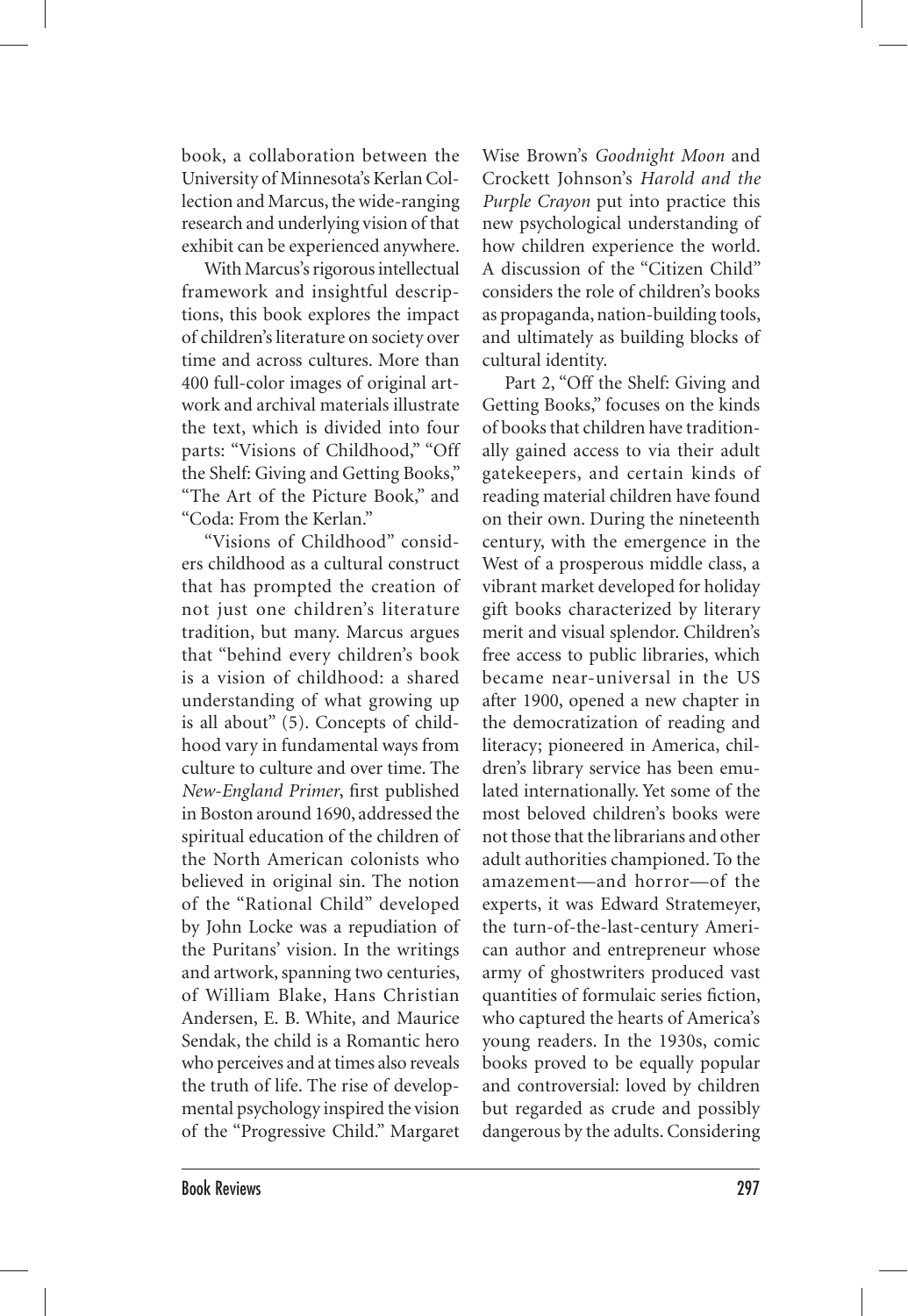book, a collaboration between the University of Minnesota's Kerlan Collection and Marcus, the wide-ranging research and underlying vision of that exhibit can be experienced anywhere.

With Marcus's rigorous intellectual framework and insightful descriptions, this book explores the impact of children's literature on society over time and across cultures. More than 400 full-color images of original artwork and archival materials illustrate the text, which is divided into four parts: "Visions of Childhood," "Off the Shelf: Giving and Getting Books," "The Art of the Picture Book," and "Coda: From the Kerlan."

"Visions of Childhood" considers childhood as a cultural construct that has prompted the creation of not just one children's literature tradition, but many. Marcus argues that "behind every children's book is a vision of childhood: a shared understanding of what growing up is all about" (5). Concepts of childhood vary in fundamental ways from culture to culture and over time. The *New-England Primer*, first published in Boston around 1690, addressed the spiritual education of the children of the North American colonists who believed in original sin. The notion of the "Rational Child" developed by John Locke was a repudiation of the Puritans' vision. In the writings and artwork, spanning two centuries, of William Blake, Hans Christian Andersen, E. B. White, and Maurice Sendak, the child is a Romantic hero who perceives and at times also reveals the truth of life. The rise of developmental psychology inspired the vision of the "Progressive Child." Margaret

Wise Brown's *Goodnight Moon* and Crockett Johnson's *Harold and the Purple Crayon* put into practice this new psychological understanding of how children experience the world. A discussion of the "Citizen Child" considers the role of children's books as propaganda, nation-building tools, and ultimately as building blocks of cultural identity.

Part 2, "Off the Shelf: Giving and Getting Books," focuses on the kinds of books that children have traditionally gained access to via their adult gatekeepers, and certain kinds of reading material children have found on their own. During the nineteenth century, with the emergence in the West of a prosperous middle class, a vibrant market developed for holiday gift books characterized by literary merit and visual splendor. Children's free access to public libraries, which became near-universal in the US after 1900, opened a new chapter in the democratization of reading and literacy; pioneered in America, children's library service has been emulated internationally. Yet some of the most beloved children's books were not those that the librarians and other adult authorities championed. To the amazement—and horror—of the experts, it was Edward Stratemeyer, the turn-of-the-last-century American author and entrepreneur whose army of ghostwriters produced vast quantities of formulaic series fiction, who captured the hearts of America's young readers. In the 1930s, comic books proved to be equally popular and controversial: loved by children but regarded as crude and possibly dangerous by the adults. Considering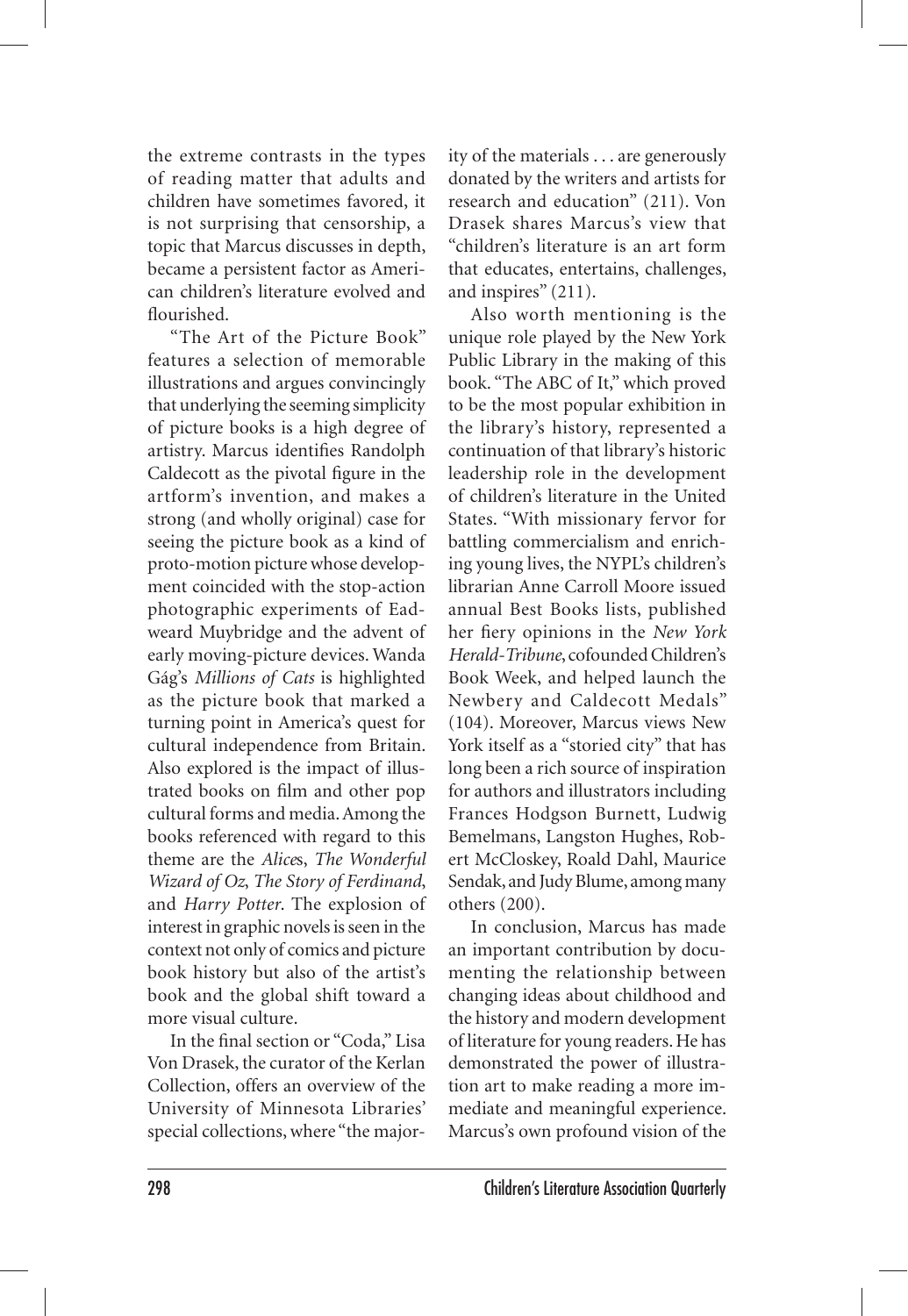the extreme contrasts in the types of reading matter that adults and children have sometimes favored, it is not surprising that censorship, a topic that Marcus discusses in depth, became a persistent factor as American children's literature evolved and flourished.

"The Art of the Picture Book" features a selection of memorable illustrations and argues convincingly that underlying the seeming simplicity of picture books is a high degree of artistry. Marcus identifies Randolph Caldecott as the pivotal figure in the artform's invention, and makes a strong (and wholly original) case for seeing the picture book as a kind of proto-motion picture whose development coincided with the stop-action photographic experiments of Eadweard Muybridge and the advent of early moving-picture devices. Wanda Gág's *Millions of Cats* is highlighted as the picture book that marked a turning point in America's quest for cultural independence from Britain. Also explored is the impact of illustrated books on film and other pop cultural forms and media. Among the books referenced with regard to this theme are the *Alice*s, *The Wonderful Wizard of Oz*, *The Story of Ferdinand*, and *Harry Potter*. The explosion of interest in graphic novels is seen in the context not only of comics and picture book history but also of the artist's book and the global shift toward a more visual culture.

In the final section or "Coda," Lisa Von Drasek, the curator of the Kerlan Collection, offers an overview of the University of Minnesota Libraries' special collections, where "the majority of the materials . . . are generously donated by the writers and artists for research and education" (211). Von Drasek shares Marcus's view that "children's literature is an art form that educates, entertains, challenges, and inspires" (211).

Also worth mentioning is the unique role played by the New York Public Library in the making of this book. "The ABC of It," which proved to be the most popular exhibition in the library's history, represented a continuation of that library's historic leadership role in the development of children's literature in the United States. "With missionary fervor for battling commercialism and enriching young lives, the NYPL's children's librarian Anne Carroll Moore issued annual Best Books lists, published her fiery opinions in the *New York Herald-Tribune*, cofounded Children's Book Week, and helped launch the Newbery and Caldecott Medals" (104). Moreover, Marcus views New York itself as a "storied city" that has long been a rich source of inspiration for authors and illustrators including Frances Hodgson Burnett, Ludwig Bemelmans, Langston Hughes, Robert McCloskey, Roald Dahl, Maurice Sendak, and Judy Blume, among many others (200).

In conclusion, Marcus has made an important contribution by documenting the relationship between changing ideas about childhood and the history and modern development of literature for young readers. He has demonstrated the power of illustration art to make reading a more immediate and meaningful experience. Marcus's own profound vision of the